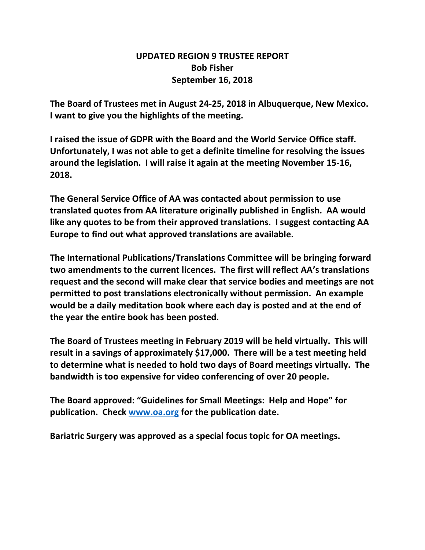## **UPDATED REGION 9 TRUSTEE REPORT Bob Fisher September 16, 2018**

**The Board of Trustees met in August 24-25, 2018 in Albuquerque, New Mexico. I want to give you the highlights of the meeting.** 

**I raised the issue of GDPR with the Board and the World Service Office staff. Unfortunately, I was not able to get a definite timeline for resolving the issues around the legislation. I will raise it again at the meeting November 15-16, 2018.**

**The General Service Office of AA was contacted about permission to use translated quotes from AA literature originally published in English. AA would like any quotes to be from their approved translations. I suggest contacting AA Europe to find out what approved translations are available.**

**The International Publications/Translations Committee will be bringing forward two amendments to the current licences. The first will reflect AA's translations request and the second will make clear that service bodies and meetings are not permitted to post translations electronically without permission. An example would be a daily meditation book where each day is posted and at the end of the year the entire book has been posted.**

**The Board of Trustees meeting in February 2019 will be held virtually. This will result in a savings of approximately \$17,000. There will be a test meeting held to determine what is needed to hold two days of Board meetings virtually. The bandwidth is too expensive for video conferencing of over 20 people.**

**The Board approved: "Guidelines for Small Meetings: Help and Hope" for publication. Check [www.oa.org](http://www.oa.org/) for the publication date.**

**Bariatric Surgery was approved as a special focus topic for OA meetings.**